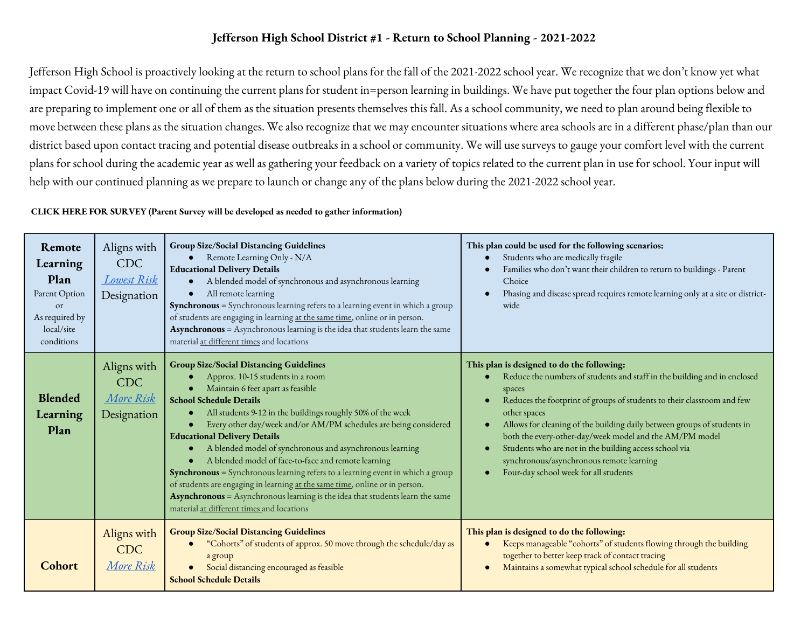# **Jefferson High School District #1 - Return to School Planning - 2021-2022**

Jefferson High School is proactively looking at the return to school plans for the fall of the 2021-2022 school year. We recognize that we don't know yet what impact Covid-19 will have on continuing the current plans for student in=person learning in buildings. We have put together the four plan options below and are preparing to implement one or all of them as the situation presents themselves this fall. As a school community, we need to plan around being flexible to move between these plans as the situation changes. We also recognize that we may encounter situations where area schools are in a different phase/plan than our district based upon contact tracing and potential disease outbreaks in a school or community. We will use surveys to gauge your comfort level with the current plans for school during the academic year as well as gathering your feedback on a variety of topics related to the current plan in use for school. Your input will help with our continued planning as we prepare to launch or change any of the plans below during the 2021-2022 school year.

#### **CLICK HERE FOR SURVEY (Parent Survey will be developed as needed to gather information)**

| Remote<br>Learning<br>Plan<br>Parent Option<br><sub>or</sub><br>As required by<br>local/site<br>conditions | Aligns with<br><b>CDC</b><br>Lowest Risk<br>Designation | <b>Group Size/Social Distancing Guidelines</b><br>Remote Learning Only - N/A<br><b>Educational Delivery Details</b><br>A blended model of synchronous and asynchronous learning<br>$\bullet$<br>All remote learning<br>$\bullet$<br>Synchronous = Synchronous learning refers to a learning event in which a group<br>of students are engaging in learning at the same time, online or in person.<br>Asynchronous = Asynchronous learning is the idea that students learn the same<br>material at different times and locations                                                                                                                                                                                                                                                | This plan could be used for the following scenarios:<br>Students who are medically fragile<br>Families who don't want their children to return to buildings - Parent<br>Choice<br>Phasing and disease spread requires remote learning only at a site or district-<br>wide                                                                                                                                                                                                                                       |
|------------------------------------------------------------------------------------------------------------|---------------------------------------------------------|--------------------------------------------------------------------------------------------------------------------------------------------------------------------------------------------------------------------------------------------------------------------------------------------------------------------------------------------------------------------------------------------------------------------------------------------------------------------------------------------------------------------------------------------------------------------------------------------------------------------------------------------------------------------------------------------------------------------------------------------------------------------------------|-----------------------------------------------------------------------------------------------------------------------------------------------------------------------------------------------------------------------------------------------------------------------------------------------------------------------------------------------------------------------------------------------------------------------------------------------------------------------------------------------------------------|
| <b>Blended</b><br>Learning<br>Plan                                                                         | Aligns with<br><b>CDC</b><br>More Risk<br>Designation   | <b>Group Size/Social Distancing Guidelines</b><br>Approx. 10-15 students in a room<br>Maintain 6 feet apart as feasible<br><b>School Schedule Details</b><br>All students 9-12 in the buildings roughly 50% of the week<br>$\bullet$<br>Every other day/week and/or AM/PM schedules are being considered<br><b>Educational Delivery Details</b><br>A blended model of synchronous and asynchronous learning<br>$\bullet$<br>A blended model of face-to-face and remote learning<br>Synchronous = Synchronous learning refers to a learning event in which a group<br>of students are engaging in learning at the same time, online or in person.<br>Asynchronous = Asynchronous learning is the idea that students learn the same<br>material at different times and locations | This plan is designed to do the following:<br>Reduce the numbers of students and staff in the building and in enclosed<br>spaces<br>Reduces the footprint of groups of students to their classroom and few<br>other spaces<br>Allows for cleaning of the building daily between groups of students in<br>both the every-other-day/week model and the AM/PM model<br>Students who are not in the building access school via<br>synchronous/asynchronous remote learning<br>Four-day school week for all students |
| <b>Cohort</b>                                                                                              | Aligns with<br><b>CDC</b><br><u>More Risk</u>           | <b>Group Size/Social Distancing Guidelines</b><br>"Cohorts" of students of approx. 50 move through the schedule/day as<br>a group<br>Social distancing encouraged as feasible<br><b>School Schedule Details</b>                                                                                                                                                                                                                                                                                                                                                                                                                                                                                                                                                                | This plan is designed to do the following:<br>Keeps manageable "cohorts" of students flowing through the building<br>together to better keep track of contact tracing<br>Maintains a somewhat typical school schedule for all students                                                                                                                                                                                                                                                                          |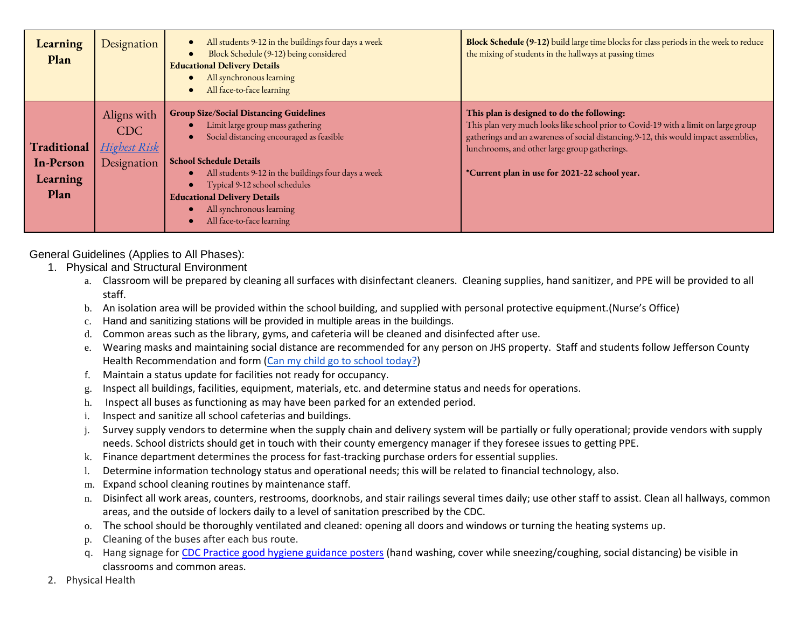| Learning<br>Plan                                    | Designation                                                     | All students 9-12 in the buildings four days a week<br>Block Schedule (9-12) being considered<br><b>Educational Delivery Details</b><br>All synchronous learning<br>$\bullet$<br>All face-to-face learning<br>$\bullet$ | Block Schedule (9-12) build large time blocks for class periods in the week to reduce<br>the mixing of students in the hallways at passing times                                                                                                                            |
|-----------------------------------------------------|-----------------------------------------------------------------|-------------------------------------------------------------------------------------------------------------------------------------------------------------------------------------------------------------------------|-----------------------------------------------------------------------------------------------------------------------------------------------------------------------------------------------------------------------------------------------------------------------------|
| Traditional<br><b>In-Person</b><br>Learning<br>Plan | Aligns with<br><b>CDC</b><br><u>Highest Risk</u><br>Designation | <b>Group Size/Social Distancing Guidelines</b><br>Limit large group mass gathering<br>Social distancing encouraged as feasible<br>$\bullet$<br><b>School Schedule Details</b>                                           | This plan is designed to do the following:<br>This plan very much looks like school prior to Covid-19 with a limit on large group<br>gatherings and an awareness of social distancing. 9-12, this would impact assemblies,<br>lunchrooms, and other large group gatherings. |
|                                                     |                                                                 | All students 9-12 in the buildings four days a week<br>Typical 9-12 school schedules<br>$\bullet$<br><b>Educational Delivery Details</b><br>All synchronous learning<br>All face-to-face learning                       | *Current plan in use for 2021-22 school year.                                                                                                                                                                                                                               |

General Guidelines (Applies to All Phases):

- 1. Physical and Structural Environment
	- a. Classroom will be prepared by cleaning all surfaces with disinfectant cleaners. Cleaning supplies, hand sanitizer, and PPE will be provided to all staff.
	- b. An isolation area will be provided within the school building, and supplied with personal protective equipment.(Nurse's Office)
	- c. Hand and sanitizing stations will be provided in multiple areas in the buildings.
	- d. Common areas such as the library, gyms, and cafeteria will be cleaned and disinfected after use.
	- e. Wearing masks and maintaining social distance are recommended for any person on JHS property. Staff and students follow Jefferson County Health Recommendation and form [\(Can my child go to school today?\)](https://drive.google.com/file/d/1pJ9XGT9Rbyc9k3wHb-ORjOVS2VhflmiG/view?usp=sharing)
	- f. Maintain a status update for facilities not ready for occupancy.
	- g. Inspect all buildings, facilities, equipment, materials, etc. and determine status and needs for operations.
	- h. Inspect all buses as functioning as may have been parked for an extended period.
	- i. Inspect and sanitize all school cafeterias and buildings.
	- j. Survey supply vendors to determine when the supply chain and delivery system will be partially or fully operational; provide vendors with supply needs. School districts should get in touch with their county emergency manager if they foresee issues to getting PPE.
	- k. Finance department determines the process for fast-tracking purchase orders for essential supplies.
	- l. Determine information technology status and operational needs; this will be related to financial technology, also.
	- m. Expand school cleaning routines by maintenance staff.
	- n. Disinfect all work areas, counters, restrooms, doorknobs, and stair railings several times daily; use other staff to assist. Clean all hallways, common areas, and the outside of lockers daily to a level of sanitation prescribed by the CDC.
	- o. The school should be thoroughly ventilated and cleaned: opening all doors and windows or turning the heating systems up.
	- p. Cleaning of the buses after each bus route.
	- q. Hang signage for [CDC Practice good hygiene guidance posters](https://www.como.gov/health/wp-content/uploads/sites/13/2020/03/stop-the-spread-of-germs-791x1024.jpg) (hand washing, cover while sneezing/coughing, social distancing) be visible in classrooms and common areas.
- 2. Physical Health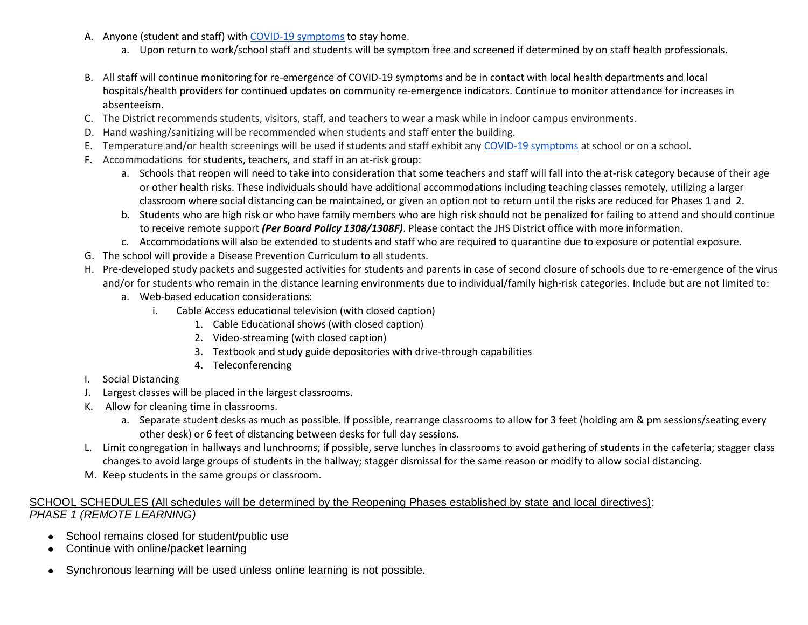- A. Anyone (student and staff) with [COVID-19 symptoms](https://www.cdc.gov/coronavirus/2019-ncov/symptoms-testing/symptoms.html) to stay home.
	- a. Upon return to work/school staff and students will be symptom free and screened if determined by on staff health professionals.
- B. All staff will continue monitoring for re-emergence of COVID-19 symptoms and be in contact with local health departments and local hospitals/health providers for continued updates on community re-emergence indicators. Continue to monitor attendance for increases in absenteeism.
- C. The District recommends students, visitors, staff, and teachers to wear a mask while in indoor campus environments.
- D. Hand washing/sanitizing will be recommended when students and staff enter the building.
- E. Temperature and/or health screenings will be used if students and staff exhibit any [COVID-19 symptoms](https://www.cdc.gov/coronavirus/2019-ncov/symptoms-testing/symptoms.html) at school or on a school.
- F. Accommodations for students, teachers, and staff in an at-risk group:
	- a. Schools that reopen will need to take into consideration that some teachers and staff will fall into the at-risk category because of their age or other health risks. These individuals should have additional accommodations including teaching classes remotely, utilizing a larger classroom where social distancing can be maintained, or given an option not to return until the risks are reduced for Phases 1 and 2.
	- b. Students who are high risk or who have family members who are high risk should not be penalized for failing to attend and should continue to receive remote support *(Per Board Policy 1308/1308F)*. Please contact the JHS District office with more information.
	- c. Accommodations will also be extended to students and staff who are required to quarantine due to exposure or potential exposure.
- G. The school will provide a Disease Prevention Curriculum to all students.
- H. Pre-developed study packets and suggested activities for students and parents in case of second closure of schools due to re-emergence of the virus and/or for students who remain in the distance learning environments due to individual/family high-risk categories. Include but are not limited to:
	- a. Web-based education considerations:
		- i. Cable Access educational television (with closed caption)
			- 1. Cable Educational shows (with closed caption)
			- 2. Video-streaming (with closed caption)
			- 3. Textbook and study guide depositories with drive-through capabilities
			- 4. Teleconferencing
- I. Social Distancing
- J. Largest classes will be placed in the largest classrooms.
- K. Allow for cleaning time in classrooms.
	- a. Separate student desks as much as possible. If possible, rearrange classrooms to allow for 3 feet (holding am & pm sessions/seating every other desk) or 6 feet of distancing between desks for full day sessions.
- L. Limit congregation in hallways and lunchrooms; if possible, serve lunches in classrooms to avoid gathering of students in the cafeteria; stagger class changes to avoid large groups of students in the hallway; stagger dismissal for the same reason or modify to allow social distancing.
- M. Keep students in the same groups or classroom.

#### SCHOOL SCHEDULES (All schedules will be determined by the Reopening Phases established by state and local directives): *PHASE 1 (REMOTE LEARNING)*

- School remains closed for student/public use
- Continue with online/packet learning
- Synchronous learning will be used unless online learning is not possible.